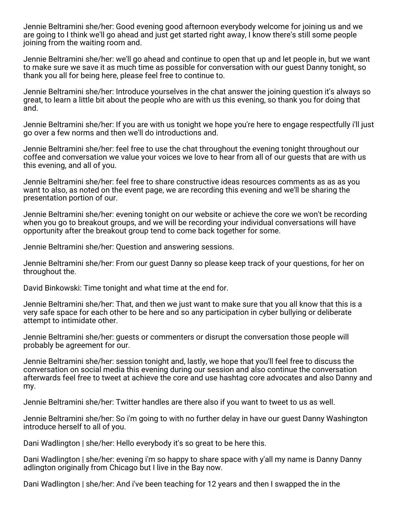Jennie Beltramini she/her: Good evening good afternoon everybody welcome for joining us and we are going to I think we'll go ahead and just get started right away, I know there's still some people joining from the waiting room and.

Jennie Beltramini she/her: we'll go ahead and continue to open that up and let people in, but we want to make sure we save it as much time as possible for conversation with our guest Danny tonight, so thank you all for being here, please feel free to continue to.

Jennie Beltramini she/her: Introduce yourselves in the chat answer the joining question it's always so great, to learn a little bit about the people who are with us this evening, so thank you for doing that and.

Jennie Beltramini she/her: If you are with us tonight we hope you're here to engage respectfully i'll just go over a few norms and then we'll do introductions and.

Jennie Beltramini she/her: feel free to use the chat throughout the evening tonight throughout our coffee and conversation we value your voices we love to hear from all of our guests that are with us this evening, and all of you.

Jennie Beltramini she/her: feel free to share constructive ideas resources comments as as as you want to also, as noted on the event page, we are recording this evening and we'll be sharing the presentation portion of our.

Jennie Beltramini she/her: evening tonight on our website or achieve the core we won't be recording when you go to breakout groups, and we will be recording your individual conversations will have opportunity after the breakout group tend to come back together for some.

Jennie Beltramini she/her: Question and answering sessions.

Jennie Beltramini she/her: From our guest Danny so please keep track of your questions, for her on throughout the.

David Binkowski: Time tonight and what time at the end for.

Jennie Beltramini she/her: That, and then we just want to make sure that you all know that this is a very safe space for each other to be here and so any participation in cyber bullying or deliberate attempt to intimidate other.

Jennie Beltramini she/her: guests or commenters or disrupt the conversation those people will probably be agreement for our.

Jennie Beltramini she/her: session tonight and, lastly, we hope that you'll feel free to discuss the conversation on social media this evening during our session and also continue the conversation afterwards feel free to tweet at achieve the core and use hashtag core advocates and also Danny and my.

Jennie Beltramini she/her: Twitter handles are there also if you want to tweet to us as well.

Jennie Beltramini she/her: So i'm going to with no further delay in have our guest Danny Washington introduce herself to all of you.

Dani Wadlington | she/her: Hello everybody it's so great to be here this.

Dani Wadlington | she/her: evening i'm so happy to share space with y'all my name is Danny Danny adlington originally from Chicago but I live in the Bay now.

Dani Wadlington | she/her: And i've been teaching for 12 years and then I swapped the in the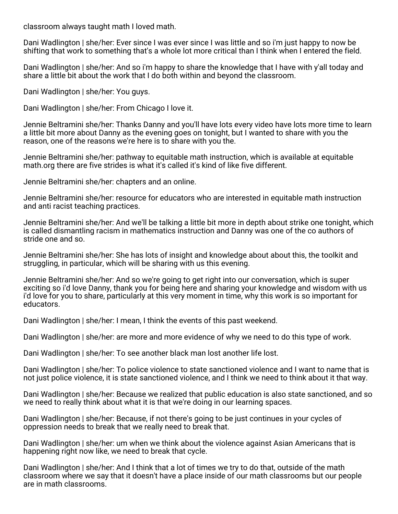classroom always taught math I loved math.

Dani Wadlington | she/her: Ever since I was ever since I was little and so i'm just happy to now be shifting that work to something that's a whole lot more critical than I think when I entered the field.

Dani Wadlington | she/her: And so i'm happy to share the knowledge that I have with y'all today and share a little bit about the work that I do both within and beyond the classroom.

Dani Wadlington | she/her: You guys.

Dani Wadlington | she/her: From Chicago I love it.

Jennie Beltramini she/her: Thanks Danny and you'll have lots every video have lots more time to learn a little bit more about Danny as the evening goes on tonight, but I wanted to share with you the reason, one of the reasons we're here is to share with you the.

Jennie Beltramini she/her: pathway to equitable math instruction, which is available at equitable math.org there are five strides is what it's called it's kind of like five different.

Jennie Beltramini she/her: chapters and an online.

Jennie Beltramini she/her: resource for educators who are interested in equitable math instruction and anti racist teaching practices.

Jennie Beltramini she/her: And we'll be talking a little bit more in depth about strike one tonight, which is called dismantling racism in mathematics instruction and Danny was one of the co authors of stride one and so.

Jennie Beltramini she/her: She has lots of insight and knowledge about about this, the toolkit and struggling, in particular, which will be sharing with us this evening.

Jennie Beltramini she/her: And so we're going to get right into our conversation, which is super exciting so i'd love Danny, thank you for being here and sharing your knowledge and wisdom with us i'd love for you to share, particularly at this very moment in time, why this work is so important for educators.

Dani Wadlington | she/her: I mean, I think the events of this past weekend.

Dani Wadlington | she/her: are more and more evidence of why we need to do this type of work.

Dani Wadlington | she/her: To see another black man lost another life lost.

Dani Wadlington | she/her: To police violence to state sanctioned violence and I want to name that is not just police violence, it is state sanctioned violence, and I think we need to think about it that way.

Dani Wadlington | she/her: Because we realized that public education is also state sanctioned, and so we need to really think about what it is that we're doing in our learning spaces.

Dani Wadlington | she/her: Because, if not there's going to be just continues in your cycles of oppression needs to break that we really need to break that.

Dani Wadlington | she/her: um when we think about the violence against Asian Americans that is happening right now like, we need to break that cycle.

Dani Wadlington | she/her: And I think that a lot of times we try to do that, outside of the math classroom where we say that it doesn't have a place inside of our math classrooms but our people are in math classrooms.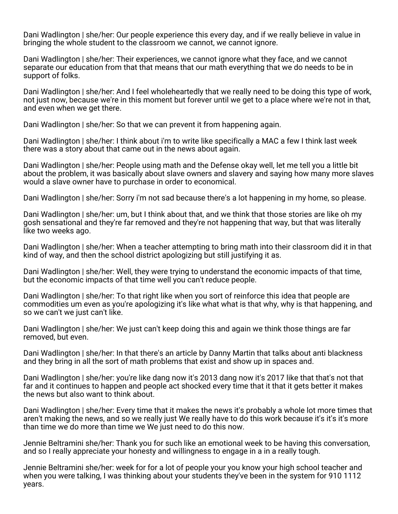Dani Wadlington | she/her: Our people experience this every day, and if we really believe in value in bringing the whole student to the classroom we cannot, we cannot ignore.

Dani Wadlington | she/her: Their experiences, we cannot ignore what they face, and we cannot separate our education from that that means that our math everything that we do needs to be in support of folks.

Dani Wadlington | she/her: And I feel wholeheartedly that we really need to be doing this type of work, not just now, because we're in this moment but forever until we get to a place where we're not in that, and even when we get there.

Dani Wadlington | she/her: So that we can prevent it from happening again.

Dani Wadlington | she/her: I think about i'm to write like specifically a MAC a few I think last week there was a story about that came out in the news about again.

Dani Wadlington | she/her: People using math and the Defense okay well, let me tell you a little bit about the problem, it was basically about slave owners and slavery and saying how many more slaves would a slave owner have to purchase in order to economical.

Dani Wadlington | she/her: Sorry i'm not sad because there's a lot happening in my home, so please.

Dani Wadlington | she/her: um, but I think about that, and we think that those stories are like oh my gosh sensational and they're far removed and they're not happening that way, but that was literally like two weeks ago.

Dani Wadlington | she/her: When a teacher attempting to bring math into their classroom did it in that kind of way, and then the school district apologizing but still justifying it as.

Dani Wadlington | she/her: Well, they were trying to understand the economic impacts of that time, but the economic impacts of that time well you can't reduce people.

Dani Wadlington | she/her: To that right like when you sort of reinforce this idea that people are commodities um even as you're apologizing it's like what what is that why, why is that happening, and so we can't we just can't like.

Dani Wadlington | she/her: We just can't keep doing this and again we think those things are far removed, but even.

Dani Wadlington | she/her: In that there's an article by Danny Martin that talks about anti blackness and they bring in all the sort of math problems that exist and show up in spaces and.

Dani Wadlington | she/her: you're like dang now it's 2013 dang now it's 2017 like that that's not that far and it continues to happen and people act shocked every time that it that it gets better it makes the news but also want to think about.

Dani Wadlington | she/her: Every time that it makes the news it's probably a whole lot more times that aren't making the news, and so we really just We really have to do this work because it's it's it's more than time we do more than time we We just need to do this now.

Jennie Beltramini she/her: Thank you for such like an emotional week to be having this conversation, and so I really appreciate your honesty and willingness to engage in a in a really tough.

Jennie Beltramini she/her: week for for a lot of people your you know your high school teacher and when you were talking, I was thinking about your students they've been in the system for 910 1112 years.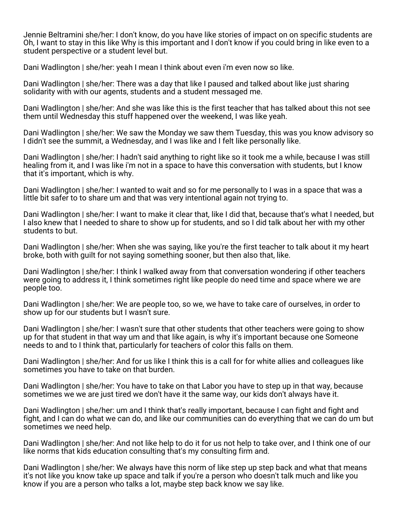Jennie Beltramini she/her: I don't know, do you have like stories of impact on on specific students are Oh, I want to stay in this like Why is this important and I don't know if you could bring in like even to a student perspective or a student level but.

Dani Wadlington | she/her: yeah I mean I think about even i'm even now so like.

Dani Wadlington | she/her: There was a day that like I paused and talked about like just sharing solidarity with with our agents, students and a student messaged me.

Dani Wadlington | she/her: And she was like this is the first teacher that has talked about this not see them until Wednesday this stuff happened over the weekend, I was like yeah.

Dani Wadlington | she/her: We saw the Monday we saw them Tuesday, this was you know advisory so I didn't see the summit, a Wednesday, and I was like and I felt like personally like.

Dani Wadlington | she/her: I hadn't said anything to right like so it took me a while, because I was still healing from it, and I was like i'm not in a space to have this conversation with students, but I know that it's important, which is why.

Dani Wadlington | she/her: I wanted to wait and so for me personally to I was in a space that was a little bit safer to to share um and that was very intentional again not trying to.

Dani Wadlington | she/her: I want to make it clear that, like I did that, because that's what I needed, but I also knew that I needed to share to show up for students, and so I did talk about her with my other students to but.

Dani Wadlington | she/her: When she was saying, like you're the first teacher to talk about it my heart broke, both with guilt for not saying something sooner, but then also that, like.

Dani Wadlington | she/her: I think I walked away from that conversation wondering if other teachers were going to address it, I think sometimes right like people do need time and space where we are people too.

Dani Wadlington | she/her: We are people too, so we, we have to take care of ourselves, in order to show up for our students but I wasn't sure.

Dani Wadlington | she/her: I wasn't sure that other students that other teachers were going to show up for that student in that way um and that like again, is why it's important because one Someone needs to and to I think that, particularly for teachers of color this falls on them.

Dani Wadlington | she/her: And for us like I think this is a call for for white allies and colleagues like sometimes you have to take on that burden.

Dani Wadlington | she/her: You have to take on that Labor you have to step up in that way, because sometimes we we are just tired we don't have it the same way, our kids don't always have it.

Dani Wadlington | she/her: um and I think that's really important, because I can fight and fight and fight, and I can do what we can do, and like our communities can do everything that we can do um but sometimes we need help.

Dani Wadlington | she/her: And not like help to do it for us not help to take over, and I think one of our like norms that kids education consulting that's my consulting firm and.

Dani Wadlington | she/her: We always have this norm of like step up step back and what that means it's not like you know take up space and talk if you're a person who doesn't talk much and like you know if you are a person who talks a lot, maybe step back know we say like.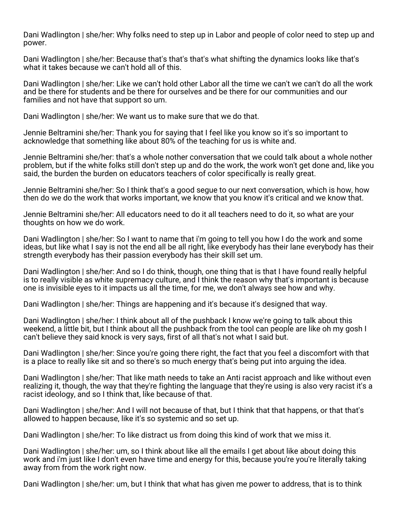Dani Wadlington | she/her: Why folks need to step up in Labor and people of color need to step up and power.

Dani Wadlington | she/her: Because that's that's that's what shifting the dynamics looks like that's what it takes because we can't hold all of this.

Dani Wadlington | she/her: Like we can't hold other Labor all the time we can't we can't do all the work and be there for students and be there for ourselves and be there for our communities and our families and not have that support so um.

Dani Wadlington | she/her: We want us to make sure that we do that.

Jennie Beltramini she/her: Thank you for saying that I feel like you know so it's so important to acknowledge that something like about 80% of the teaching for us is white and.

Jennie Beltramini she/her: that's a whole nother conversation that we could talk about a whole nother problem, but if the white folks still don't step up and do the work, the work won't get done and, like you said, the burden the burden on educators teachers of color specifically is really great.

Jennie Beltramini she/her: So I think that's a good segue to our next conversation, which is how, how then do we do the work that works important, we know that you know it's critical and we know that.

Jennie Beltramini she/her: All educators need to do it all teachers need to do it, so what are your thoughts on how we do work.

Dani Wadlington | she/her: So I want to name that i'm going to tell you how I do the work and some ideas, but like what I say is not the end all be all right, like everybody has their lane everybody has their strength everybody has their passion everybody has their skill set um.

Dani Wadlington | she/her: And so I do think, though, one thing that is that I have found really helpful is to really visible as white supremacy culture, and I think the reason why that's important is because one is invisible eyes to it impacts us all the time, for me, we don't always see how and why.

Dani Wadlington | she/her: Things are happening and it's because it's designed that way.

Dani Wadlington | she/her: I think about all of the pushback I know we're going to talk about this weekend, a little bit, but I think about all the pushback from the tool can people are like oh my gosh I can't believe they said knock is very says, first of all that's not what I said but.

Dani Wadlington | she/her: Since you're going there right, the fact that you feel a discomfort with that is a place to really like sit and so there's so much energy that's being put into arguing the idea.

Dani Wadlington | she/her: That like math needs to take an Anti racist approach and like without even realizing it, though, the way that they're fighting the language that they're using is also very racist it's a racist ideology, and so I think that, like because of that.

Dani Wadlington | she/her: And I will not because of that, but I think that that happens, or that that's allowed to happen because, like it's so systemic and so set up.

Dani Wadlington | she/her: To like distract us from doing this kind of work that we miss it.

Dani Wadlington | she/her: um, so I think about like all the emails I get about like about doing this work and i'm just like I don't even have time and energy for this, because you're you're literally taking away from from the work right now.

Dani Wadlington | she/her: um, but I think that what has given me power to address, that is to think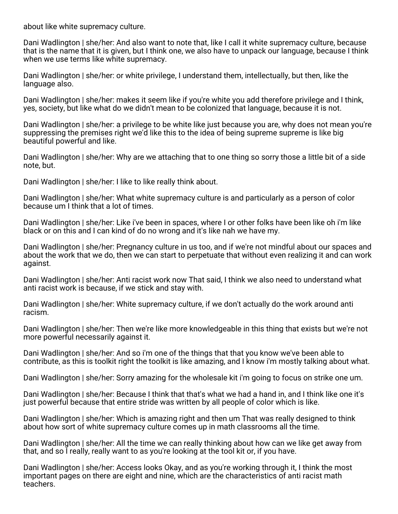about like white supremacy culture.

Dani Wadlington | she/her: And also want to note that, like I call it white supremacy culture, because that is the name that it is given, but I think one, we also have to unpack our language, because I think when we use terms like white supremacy.

Dani Wadlington | she/her: or white privilege, I understand them, intellectually, but then, like the language also.

Dani Wadlington | she/her: makes it seem like if you're white you add therefore privilege and I think, yes, society, but like what do we didn't mean to be colonized that language, because it is not.

Dani Wadlington | she/her: a privilege to be white like just because you are, why does not mean you're suppressing the premises right we'd like this to the idea of being supreme supreme is like big beautiful powerful and like.

Dani Wadlington | she/her: Why are we attaching that to one thing so sorry those a little bit of a side note, but.

Dani Wadlington | she/her: I like to like really think about.

Dani Wadlington | she/her: What white supremacy culture is and particularly as a person of color because um I think that a lot of times.

Dani Wadlington | she/her: Like i've been in spaces, where I or other folks have been like oh i'm like black or on this and I can kind of do no wrong and it's like nah we have my.

Dani Wadlington | she/her: Pregnancy culture in us too, and if we're not mindful about our spaces and about the work that we do, then we can start to perpetuate that without even realizing it and can work against.

Dani Wadlington | she/her: Anti racist work now That said, I think we also need to understand what anti racist work is because, if we stick and stay with.

Dani Wadlington | she/her: White supremacy culture, if we don't actually do the work around anti racism.

Dani Wadlington | she/her: Then we're like more knowledgeable in this thing that exists but we're not more powerful necessarily against it.

Dani Wadlington | she/her: And so i'm one of the things that that you know we've been able to contribute, as this is toolkit right the toolkit is like amazing, and I know i'm mostly talking about what.

Dani Wadlington | she/her: Sorry amazing for the wholesale kit i'm going to focus on strike one um.

Dani Wadlington | she/her: Because I think that that's what we had a hand in, and I think like one it's just powerful because that entire stride was written by all people of color which is like.

Dani Wadlington | she/her: Which is amazing right and then um That was really designed to think about how sort of white supremacy culture comes up in math classrooms all the time.

Dani Wadlington | she/her: All the time we can really thinking about how can we like get away from that, and so I really, really want to as you're looking at the tool kit or, if you have.

Dani Wadlington | she/her: Access looks Okay, and as you're working through it, I think the most important pages on there are eight and nine, which are the characteristics of anti racist math teachers.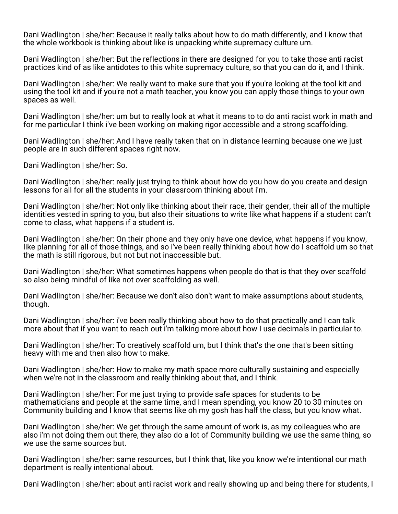Dani Wadlington | she/her: Because it really talks about how to do math differently, and I know that the whole workbook is thinking about like is unpacking white supremacy culture um.

Dani Wadlington | she/her: But the reflections in there are designed for you to take those anti racist practices kind of as like antidotes to this white supremacy culture, so that you can do it, and I think.

Dani Wadlington | she/her: We really want to make sure that you if you're looking at the tool kit and using the tool kit and if you're not a math teacher, you know you can apply those things to your own spaces as well.

Dani Wadlington | she/her: um but to really look at what it means to to do anti racist work in math and for me particular I think i've been working on making rigor accessible and a strong scaffolding.

Dani Wadlington | she/her: And I have really taken that on in distance learning because one we just people are in such different spaces right now.

Dani Wadlington | she/her: So.

Dani Wadlington | she/her: really just trying to think about how do you how do you create and design lessons for all for all the students in your classroom thinking about i'm.

Dani Wadlington | she/her: Not only like thinking about their race, their gender, their all of the multiple identities vested in spring to you, but also their situations to write like what happens if a student can't come to class, what happens if a student is.

Dani Wadlington | she/her: On their phone and they only have one device, what happens if you know, like planning for all of those things, and so i've been really thinking about how do I scaffold um so that the math is still rigorous, but not but not inaccessible but.

Dani Wadlington | she/her: What sometimes happens when people do that is that they over scaffold so also being mindful of like not over scaffolding as well.

Dani Wadlington | she/her: Because we don't also don't want to make assumptions about students, though.

Dani Wadlington | she/her: i've been really thinking about how to do that practically and I can talk more about that if you want to reach out i'm talking more about how I use decimals in particular to.

Dani Wadlington | she/her: To creatively scaffold um, but I think that's the one that's been sitting heavy with me and then also how to make.

Dani Wadlington | she/her: How to make my math space more culturally sustaining and especially when we're not in the classroom and really thinking about that, and I think.

Dani Wadlington | she/her: For me just trying to provide safe spaces for students to be mathematicians and people at the same time, and I mean spending, you know 20 to 30 minutes on Community building and I know that seems like oh my gosh has half the class, but you know what.

Dani Wadlington | she/her: We get through the same amount of work is, as my colleagues who are also i'm not doing them out there, they also do a lot of Community building we use the same thing, so we use the same sources but.

Dani Wadlington | she/her: same resources, but I think that, like you know we're intentional our math department is really intentional about.

Dani Wadlington | she/her: about anti racist work and really showing up and being there for students, I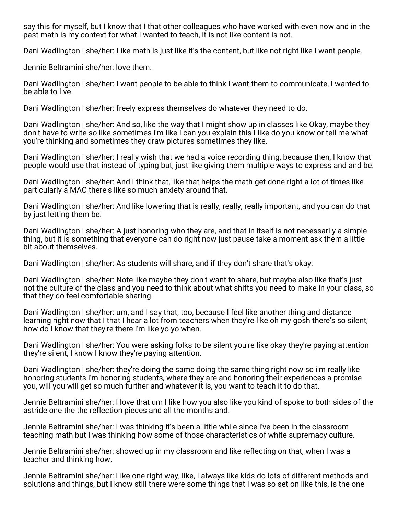say this for myself, but I know that I that other colleagues who have worked with even now and in the past math is my context for what I wanted to teach, it is not like content is not.

Dani Wadlington | she/her: Like math is just like it's the content, but like not right like I want people.

Jennie Beltramini she/her: love them.

Dani Wadlington | she/her: I want people to be able to think I want them to communicate, I wanted to be able to live.

Dani Wadlington | she/her: freely express themselves do whatever they need to do.

Dani Wadlington | she/her: And so, like the way that I might show up in classes like Okay, maybe they don't have to write so like sometimes i'm like I can you explain this I like do you know or tell me what you're thinking and sometimes they draw pictures sometimes they like.

Dani Wadlington | she/her: I really wish that we had a voice recording thing, because then, I know that people would use that instead of typing but, just like giving them multiple ways to express and and be.

Dani Wadlington | she/her: And I think that, like that helps the math get done right a lot of times like particularly a MAC there's like so much anxiety around that.

Dani Wadlington | she/her: And like lowering that is really, really, really important, and you can do that by just letting them be.

Dani Wadlington | she/her: A just honoring who they are, and that in itself is not necessarily a simple thing, but it is something that everyone can do right now just pause take a moment ask them a little bit about themselves.

Dani Wadlington | she/her: As students will share, and if they don't share that's okay.

Dani Wadlington | she/her: Note like maybe they don't want to share, but maybe also like that's just not the culture of the class and you need to think about what shifts you need to make in your class, so that they do feel comfortable sharing.

Dani Wadlington | she/her: um, and I say that, too, because I feel like another thing and distance learning right now that I that I hear a lot from teachers when they're like oh my gosh there's so silent, how do I know that they're there i'm like yo yo when.

Dani Wadlington | she/her: You were asking folks to be silent you're like okay they're paying attention they're silent, I know I know they're paying attention.

Dani Wadlington | she/her: they're doing the same doing the same thing right now so i'm really like honoring students i'm honoring students, where they are and honoring their experiences a promise you, will you will get so much further and whatever it is, you want to teach it to do that.

Jennie Beltramini she/her: I love that um I like how you also like you kind of spoke to both sides of the astride one the the reflection pieces and all the months and.

Jennie Beltramini she/her: I was thinking it's been a little while since i've been in the classroom teaching math but I was thinking how some of those characteristics of white supremacy culture.

Jennie Beltramini she/her: showed up in my classroom and like reflecting on that, when I was a teacher and thinking how.

Jennie Beltramini she/her: Like one right way, like, I always like kids do lots of different methods and solutions and things, but I know still there were some things that I was so set on like this, is the one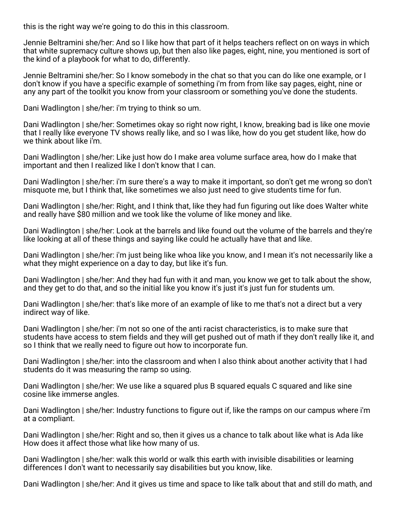this is the right way we're going to do this in this classroom.

Jennie Beltramini she/her: And so I like how that part of it helps teachers reflect on on ways in which that white supremacy culture shows up, but then also like pages, eight, nine, you mentioned is sort of the kind of a playbook for what to do, differently.

Jennie Beltramini she/her: So I know somebody in the chat so that you can do like one example, or I don't know if you have a specific example of something i'm from from like say pages, eight, nine or any any part of the toolkit you know from your classroom or something you've done the students.

Dani Wadlington | she/her: i'm trying to think so um.

Dani Wadlington | she/her: Sometimes okay so right now right, I know, breaking bad is like one movie that I really like everyone TV shows really like, and so I was like, how do you get student like, how do we think about like i'm.

Dani Wadlington | she/her: Like just how do I make area volume surface area, how do I make that important and then I realized like I don't know that I can.

Dani Wadlington | she/her: i'm sure there's a way to make it important, so don't get me wrong so don't misquote me, but I think that, like sometimes we also just need to give students time for fun.

Dani Wadlington | she/her: Right, and I think that, like they had fun figuring out like does Walter white and really have \$80 million and we took like the volume of like money and like.

Dani Wadlington | she/her: Look at the barrels and like found out the volume of the barrels and they're like looking at all of these things and saying like could he actually have that and like.

Dani Wadlington | she/her: i'm just being like whoa like you know, and I mean it's not necessarily like a what they might experience on a day to day, but like it's fun.

Dani Wadlington | she/her: And they had fun with it and man, you know we get to talk about the show, and they get to do that, and so the initial like you know it's just it's just fun for students um.

Dani Wadlington | she/her: that's like more of an example of like to me that's not a direct but a very indirect way of like.

Dani Wadlington | she/her: i'm not so one of the anti racist characteristics, is to make sure that students have access to stem fields and they will get pushed out of math if they don't really like it, and so I think that we really need to figure out how to incorporate fun.

Dani Wadlington | she/her: into the classroom and when I also think about another activity that I had students do it was measuring the ramp so using.

Dani Wadlington | she/her: We use like a squared plus B squared equals C squared and like sine cosine like immerse angles.

Dani Wadlington | she/her: Industry functions to figure out if, like the ramps on our campus where i'm at a compliant.

Dani Wadlington | she/her: Right and so, then it gives us a chance to talk about like what is Ada like How does it affect those what like how many of us.

Dani Wadlington | she/her: walk this world or walk this earth with invisible disabilities or learning differences I don't want to necessarily say disabilities but you know, like.

Dani Wadlington | she/her: And it gives us time and space to like talk about that and still do math, and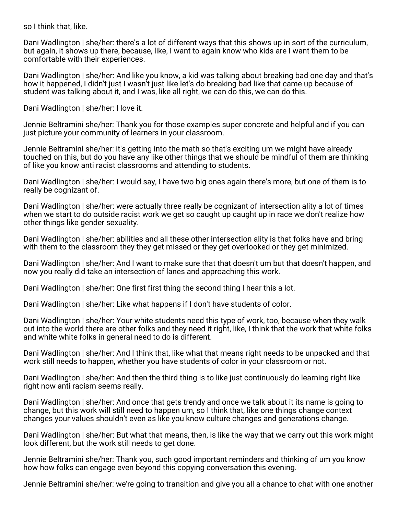so I think that, like.

Dani Wadlington | she/her: there's a lot of different ways that this shows up in sort of the curriculum, but again, it shows up there, because, like, I want to again know who kids are I want them to be comfortable with their experiences.

Dani Wadlington | she/her: And like you know, a kid was talking about breaking bad one day and that's how it happened, I didn't just I wasn't just like let's do breaking bad like that came up because of student was talking about it, and I was, like all right, we can do this, we can do this.

Dani Wadlington | she/her: I love it.

Jennie Beltramini she/her: Thank you for those examples super concrete and helpful and if you can just picture your community of learners in your classroom.

Jennie Beltramini she/her: it's getting into the math so that's exciting um we might have already touched on this, but do you have any like other things that we should be mindful of them are thinking of like you know anti racist classrooms and attending to students.

Dani Wadlington | she/her: I would say, I have two big ones again there's more, but one of them is to really be cognizant of.

Dani Wadlington | she/her: were actually three really be cognizant of intersection ality a lot of times when we start to do outside racist work we get so caught up caught up in race we don't realize how other things like gender sexuality.

Dani Wadlington | she/her: abilities and all these other intersection ality is that folks have and bring with them to the classroom they they get missed or they get overlooked or they get minimized.

Dani Wadlington | she/her: And I want to make sure that that doesn't um but that doesn't happen, and now you really did take an intersection of lanes and approaching this work.

Dani Wadlington | she/her: One first first thing the second thing I hear this a lot.

Dani Wadlington | she/her: Like what happens if I don't have students of color.

Dani Wadlington | she/her: Your white students need this type of work, too, because when they walk out into the world there are other folks and they need it right, like, I think that the work that white folks and white white folks in general need to do is different.

Dani Wadlington | she/her: And I think that, like what that means right needs to be unpacked and that work still needs to happen, whether you have students of color in your classroom or not.

Dani Wadlington | she/her: And then the third thing is to like just continuously do learning right like right now anti racism seems really.

Dani Wadlington | she/her: And once that gets trendy and once we talk about it its name is going to change, but this work will still need to happen um, so I think that, like one things change context changes your values shouldn't even as like you know culture changes and generations change.

Dani Wadlington | she/her: But what that means, then, is like the way that we carry out this work might look different, but the work still needs to get done.

Jennie Beltramini she/her: Thank you, such good important reminders and thinking of um you know how how folks can engage even beyond this copying conversation this evening.

Jennie Beltramini she/her: we're going to transition and give you all a chance to chat with one another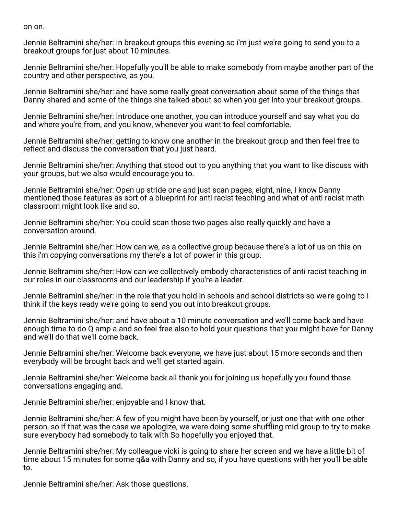on on.

Jennie Beltramini she/her: In breakout groups this evening so i'm just we're going to send you to a breakout groups for just about 10 minutes.

Jennie Beltramini she/her: Hopefully you'll be able to make somebody from maybe another part of the country and other perspective, as you.

Jennie Beltramini she/her: and have some really great conversation about some of the things that Danny shared and some of the things she talked about so when you get into your breakout groups.

Jennie Beltramini she/her: Introduce one another, you can introduce yourself and say what you do and where you're from, and you know, whenever you want to feel comfortable.

Jennie Beltramini she/her: getting to know one another in the breakout group and then feel free to reflect and discuss the conversation that you just heard.

Jennie Beltramini she/her: Anything that stood out to you anything that you want to like discuss with your groups, but we also would encourage you to.

Jennie Beltramini she/her: Open up stride one and just scan pages, eight, nine, I know Danny mentioned those features as sort of a blueprint for anti racist teaching and what of anti racist math classroom might look like and so.

Jennie Beltramini she/her: You could scan those two pages also really quickly and have a conversation around.

Jennie Beltramini she/her: How can we, as a collective group because there's a lot of us on this on this i'm copying conversations my there's a lot of power in this group.

Jennie Beltramini she/her: How can we collectively embody characteristics of anti racist teaching in our roles in our classrooms and our leadership if you're a leader.

Jennie Beltramini she/her: In the role that you hold in schools and school districts so we're going to I think if the keys ready we're going to send you out into breakout groups.

Jennie Beltramini she/her: and have about a 10 minute conversation and we'll come back and have enough time to do Q amp a and so feel free also to hold your questions that you might have for Danny and we'll do that we'll come back.

Jennie Beltramini she/her: Welcome back everyone, we have just about 15 more seconds and then everybody will be brought back and we'll get started again.

Jennie Beltramini she/her: Welcome back all thank you for joining us hopefully you found those conversations engaging and.

Jennie Beltramini she/her: enjoyable and I know that.

Jennie Beltramini she/her: A few of you might have been by yourself, or just one that with one other person, so if that was the case we apologize, we were doing some shuffling mid group to try to make sure everybody had somebody to talk with So hopefully you enjoyed that.

Jennie Beltramini she/her: My colleague vicki is going to share her screen and we have a little bit of time about 15 minutes for some q&a with Danny and so, if you have questions with her you'll be able to.

Jennie Beltramini she/her: Ask those questions.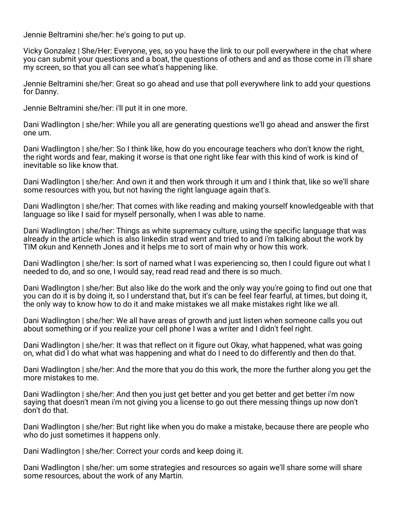Jennie Beltramini she/her: he's going to put up.

Vicky Gonzalez | She/Her: Everyone, yes, so you have the link to our poll everywhere in the chat where you can submit your questions and a boat, the questions of others and and as those come in i'll share my screen, so that you all can see what's happening like.

Jennie Beltramini she/her: Great so go ahead and use that poll everywhere link to add your questions for Danny.

Jennie Beltramini she/her: i'll put it in one more.

Dani Wadlington | she/her: While you all are generating questions we'll go ahead and answer the first one um.

Dani Wadlington | she/her: So I think like, how do you encourage teachers who don't know the right, the right words and fear, making it worse is that one right like fear with this kind of work is kind of inevitable so like know that.

Dani Wadlington | she/her: And own it and then work through it um and I think that, like so we'll share some resources with you, but not having the right language again that's.

Dani Wadlington | she/her: That comes with like reading and making yourself knowledgeable with that language so like I said for myself personally, when I was able to name.

Dani Wadlington | she/her: Things as white supremacy culture, using the specific language that was already in the article which is also linkedin strad went and tried to and i'm talking about the work by TIM okun and Kenneth Jones and it helps me to sort of main why or how this work.

Dani Wadlington | she/her: Is sort of named what I was experiencing so, then I could figure out what I needed to do, and so one, I would say, read read read and there is so much.

Dani Wadlington | she/her: But also like do the work and the only way you're going to find out one that you can do it is by doing it, so I understand that, but it's can be feel fear fearful, at times, but doing it, the only way to know how to do it and make mistakes we all make mistakes right like we all.

Dani Wadlington | she/her: We all have areas of growth and just listen when someone calls you out about something or if you realize your cell phone I was a writer and I didn't feel right.

Dani Wadlington | she/her: It was that reflect on it figure out Okay, what happened, what was going on, what did I do what what was happening and what do I need to do differently and then do that.

Dani Wadlington | she/her: And the more that you do this work, the more the further along you get the more mistakes to me.

Dani Wadlington | she/her: And then you just get better and you get better and get better i'm now saying that doesn't mean i'm not giving you a license to go out there messing things up now don't don't do that.

Dani Wadlington | she/her: But right like when you do make a mistake, because there are people who who do just sometimes it happens only.

Dani Wadlington | she/her: Correct your cords and keep doing it.

Dani Wadlington | she/her: um some strategies and resources so again we'll share some will share some resources, about the work of any Martin.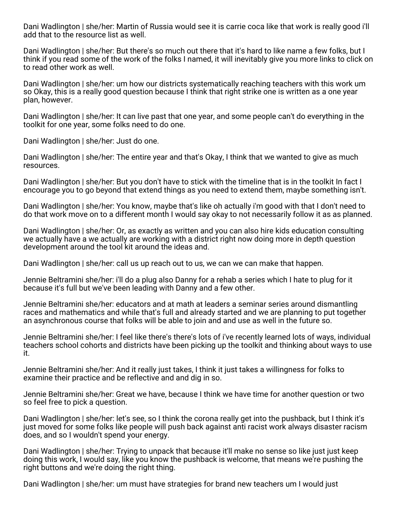Dani Wadlington | she/her: Martin of Russia would see it is carrie coca like that work is really good i'll add that to the resource list as well.

Dani Wadlington | she/her: But there's so much out there that it's hard to like name a few folks, but I think if you read some of the work of the folks I named, it will inevitably give you more links to click on to read other work as well.

Dani Wadlington | she/her: um how our districts systematically reaching teachers with this work um so Okay, this is a really good question because I think that right strike one is written as a one year plan, however.

Dani Wadlington | she/her: It can live past that one year, and some people can't do everything in the toolkit for one year, some folks need to do one.

Dani Wadlington | she/her: Just do one.

Dani Wadlington | she/her: The entire year and that's Okay, I think that we wanted to give as much resources.

Dani Wadlington | she/her: But you don't have to stick with the timeline that is in the toolkit In fact I encourage you to go beyond that extend things as you need to extend them, maybe something isn't.

Dani Wadlington | she/her: You know, maybe that's like oh actually i'm good with that I don't need to do that work move on to a different month I would say okay to not necessarily follow it as as planned.

Dani Wadlington | she/her: Or, as exactly as written and you can also hire kids education consulting we actually have a we actually are working with a district right now doing more in depth question development around the tool kit around the ideas and.

Dani Wadlington | she/her: call us up reach out to us, we can we can make that happen.

Jennie Beltramini she/her: i'll do a plug also Danny for a rehab a series which I hate to plug for it because it's full but we've been leading with Danny and a few other.

Jennie Beltramini she/her: educators and at math at leaders a seminar series around dismantling races and mathematics and while that's full and already started and we are planning to put together an asynchronous course that folks will be able to join and and use as well in the future so.

Jennie Beltramini she/her: I feel like there's there's lots of i've recently learned lots of ways, individual teachers school cohorts and districts have been picking up the toolkit and thinking about ways to use it.

Jennie Beltramini she/her: And it really just takes, I think it just takes a willingness for folks to examine their practice and be reflective and and dig in so.

Jennie Beltramini she/her: Great we have, because I think we have time for another question or two so feel free to pick a question.

Dani Wadlington | she/her: let's see, so I think the corona really get into the pushback, but I think it's just moved for some folks like people will push back against anti racist work always disaster racism does, and so I wouldn't spend your energy.

Dani Wadlington | she/her: Trying to unpack that because it'll make no sense so like just just keep doing this work, I would say, like you know the pushback is welcome, that means we're pushing the right buttons and we're doing the right thing.

Dani Wadlington | she/her: um must have strategies for brand new teachers um I would just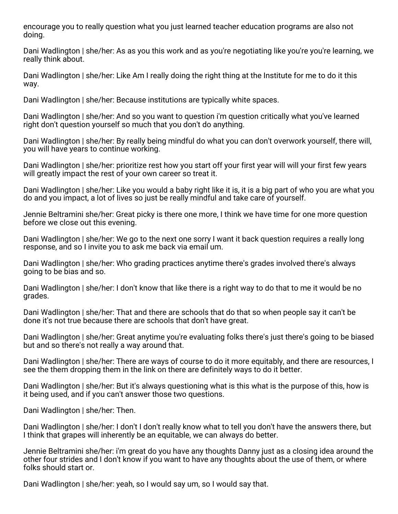encourage you to really question what you just learned teacher education programs are also not doing.

Dani Wadlington | she/her: As as you this work and as you're negotiating like you're you're learning, we really think about.

Dani Wadlington | she/her: Like Am I really doing the right thing at the Institute for me to do it this way.

Dani Wadlington | she/her: Because institutions are typically white spaces.

Dani Wadlington | she/her: And so you want to question i'm question critically what you've learned right don't question yourself so much that you don't do anything.

Dani Wadlington | she/her: By really being mindful do what you can don't overwork yourself, there will, you will have years to continue working.

Dani Wadlington | she/her: prioritize rest how you start off your first year will will your first few years will greatly impact the rest of your own career so treat it.

Dani Wadlington | she/her: Like you would a baby right like it is, it is a big part of who you are what you do and you impact, a lot of lives so just be really mindful and take care of yourself.

Jennie Beltramini she/her: Great picky is there one more, I think we have time for one more question before we close out this evening.

Dani Wadlington | she/her: We go to the next one sorry I want it back question requires a really long response, and so I invite you to ask me back via email um.

Dani Wadlington | she/her: Who grading practices anytime there's grades involved there's always going to be bias and so.

Dani Wadlington | she/her: I don't know that like there is a right way to do that to me it would be no grades.

Dani Wadlington | she/her: That and there are schools that do that so when people say it can't be done it's not true because there are schools that don't have great.

Dani Wadlington | she/her: Great anytime you're evaluating folks there's just there's going to be biased but and so there's not really a way around that.

Dani Wadlington | she/her: There are ways of course to do it more equitably, and there are resources, I see the them dropping them in the link on there are definitely ways to do it better.

Dani Wadlington | she/her: But it's always questioning what is this what is the purpose of this, how is it being used, and if you can't answer those two questions.

Dani Wadlington | she/her: Then.

Dani Wadlington | she/her: I don't I don't really know what to tell you don't have the answers there, but I think that grapes will inherently be an equitable, we can always do better.

Jennie Beltramini she/her: i'm great do you have any thoughts Danny just as a closing idea around the other four strides and I don't know if you want to have any thoughts about the use of them, or where folks should start or.

Dani Wadlington | she/her: yeah, so I would say um, so I would say that.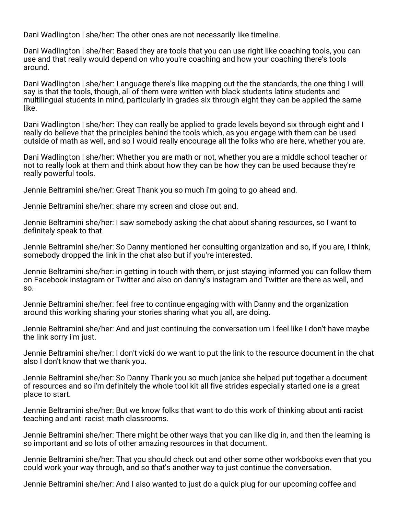Dani Wadlington | she/her: The other ones are not necessarily like timeline.

Dani Wadlington | she/her: Based they are tools that you can use right like coaching tools, you can use and that really would depend on who you're coaching and how your coaching there's tools around.

Dani Wadlington | she/her: Language there's like mapping out the the standards, the one thing I will say is that the tools, though, all of them were written with black students latinx students and multilingual students in mind, particularly in grades six through eight they can be applied the same like.

Dani Wadlington | she/her: They can really be applied to grade levels beyond six through eight and I really do believe that the principles behind the tools which, as you engage with them can be used outside of math as well, and so I would really encourage all the folks who are here, whether you are.

Dani Wadlington | she/her: Whether you are math or not, whether you are a middle school teacher or not to really look at them and think about how they can be how they can be used because they're really powerful tools.

Jennie Beltramini she/her: Great Thank you so much i'm going to go ahead and.

Jennie Beltramini she/her: share my screen and close out and.

Jennie Beltramini she/her: I saw somebody asking the chat about sharing resources, so I want to definitely speak to that.

Jennie Beltramini she/her: So Danny mentioned her consulting organization and so, if you are, I think, somebody dropped the link in the chat also but if you're interested.

Jennie Beltramini she/her: in getting in touch with them, or just staying informed you can follow them on Facebook instagram or Twitter and also on danny's instagram and Twitter are there as well, and so.

Jennie Beltramini she/her: feel free to continue engaging with with Danny and the organization around this working sharing your stories sharing what you all, are doing.

Jennie Beltramini she/her: And and just continuing the conversation um I feel like I don't have maybe the link sorry i'm just.

Jennie Beltramini she/her: I don't vicki do we want to put the link to the resource document in the chat also I don't know that we thank you.

Jennie Beltramini she/her: So Danny Thank you so much janice she helped put together a document of resources and so i'm definitely the whole tool kit all five strides especially started one is a great place to start.

Jennie Beltramini she/her: But we know folks that want to do this work of thinking about anti racist teaching and anti racist math classrooms.

Jennie Beltramini she/her: There might be other ways that you can like dig in, and then the learning is so important and so lots of other amazing resources in that document.

Jennie Beltramini she/her: That you should check out and other some other workbooks even that you could work your way through, and so that's another way to just continue the conversation.

Jennie Beltramini she/her: And I also wanted to just do a quick plug for our upcoming coffee and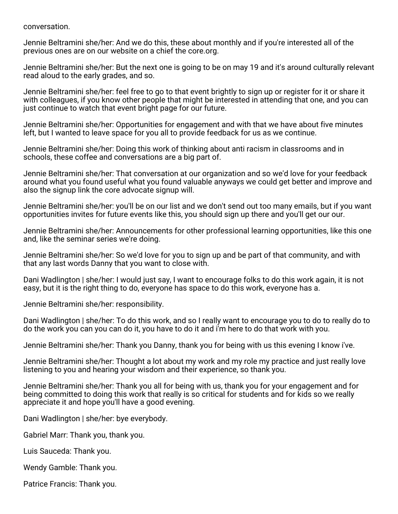conversation.

Jennie Beltramini she/her: And we do this, these about monthly and if you're interested all of the previous ones are on our website on a chief the core.org.

Jennie Beltramini she/her: But the next one is going to be on may 19 and it's around culturally relevant read aloud to the early grades, and so.

Jennie Beltramini she/her: feel free to go to that event brightly to sign up or register for it or share it with colleagues, if you know other people that might be interested in attending that one, and you can just continue to watch that event bright page for our future.

Jennie Beltramini she/her: Opportunities for engagement and with that we have about five minutes left, but I wanted to leave space for you all to provide feedback for us as we continue.

Jennie Beltramini she/her: Doing this work of thinking about anti racism in classrooms and in schools, these coffee and conversations are a big part of.

Jennie Beltramini she/her: That conversation at our organization and so we'd love for your feedback around what you found useful what you found valuable anyways we could get better and improve and also the signup link the core advocate signup will.

Jennie Beltramini she/her: you'll be on our list and we don't send out too many emails, but if you want opportunities invites for future events like this, you should sign up there and you'll get our our.

Jennie Beltramini she/her: Announcements for other professional learning opportunities, like this one and, like the seminar series we're doing.

Jennie Beltramini she/her: So we'd love for you to sign up and be part of that community, and with that any last words Danny that you want to close with.

Dani Wadlington | she/her: I would just say, I want to encourage folks to do this work again, it is not easy, but it is the right thing to do, everyone has space to do this work, everyone has a.

Jennie Beltramini she/her: responsibility.

Dani Wadlington | she/her: To do this work, and so I really want to encourage you to do to really do to do the work you can you can do it, you have to do it and i'm here to do that work with you.

Jennie Beltramini she/her: Thank you Danny, thank you for being with us this evening I know i've.

Jennie Beltramini she/her: Thought a lot about my work and my role my practice and just really love listening to you and hearing your wisdom and their experience, so thank you.

Jennie Beltramini she/her: Thank you all for being with us, thank you for your engagement and for being committed to doing this work that really is so critical for students and for kids so we really appreciate it and hope you'll have a good evening.

Dani Wadlington | she/her: bye everybody.

Gabriel Marr: Thank you, thank you.

Luis Sauceda: Thank you.

Wendy Gamble: Thank you.

Patrice Francis: Thank you.